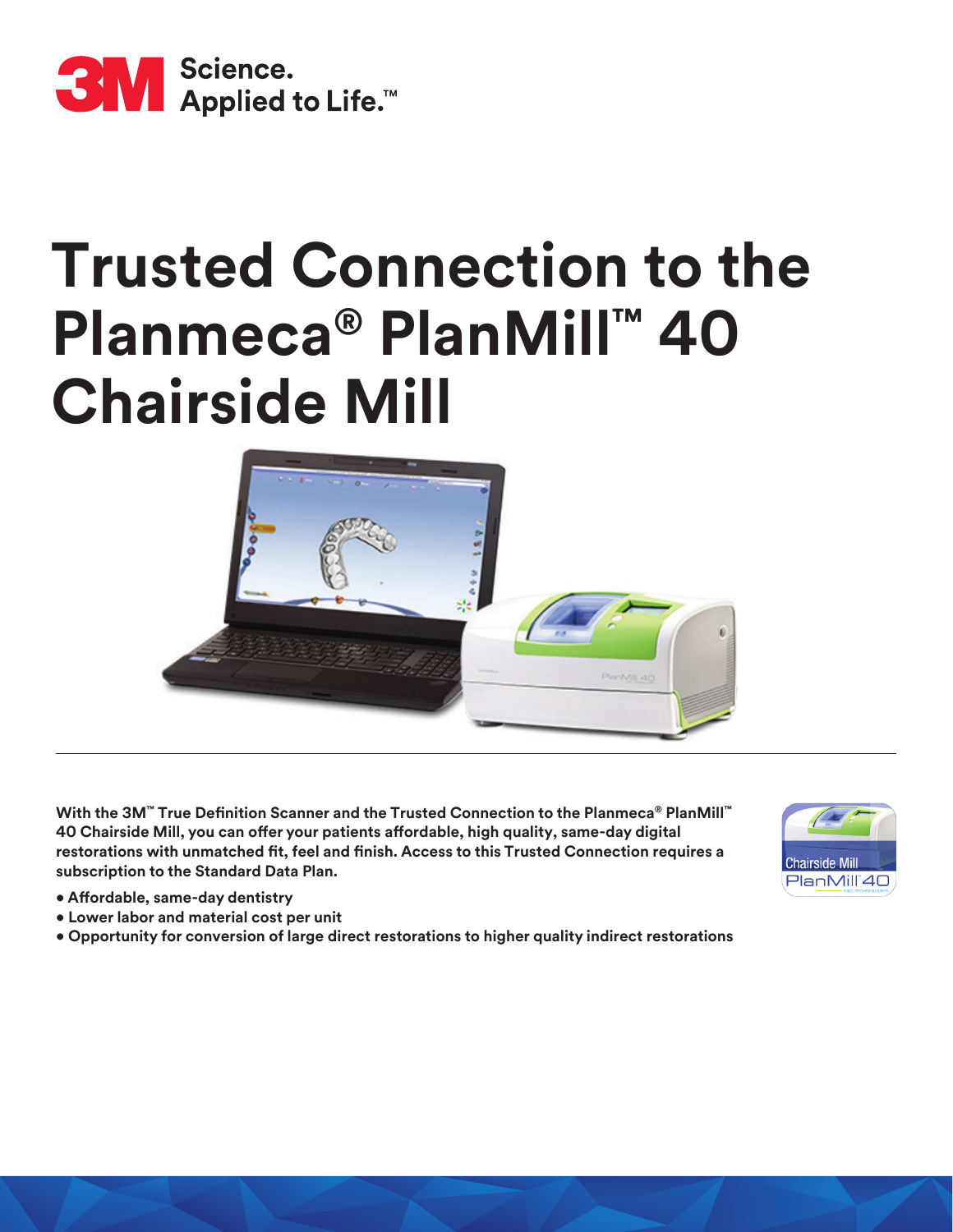

# **Trusted Connection to the Planmeca® PlanMill™ 40 Chairside Mill**



**With the 3M™ True Definition Scanner and the Trusted Connection to the Planmeca® PlanMill™ 40 Chairside Mill, you can offer your patients affordable, high quality, same-day digital restorations with unmatched fit, feel and finish. Access to this Trusted Connection requires a subscription to the Standard Data Plan.**

- **Affordable, same-day dentistry**
- **Lower labor and material cost per unit**
- **Opportunity for conversion of large direct restorations to higher quality indirect restorations**